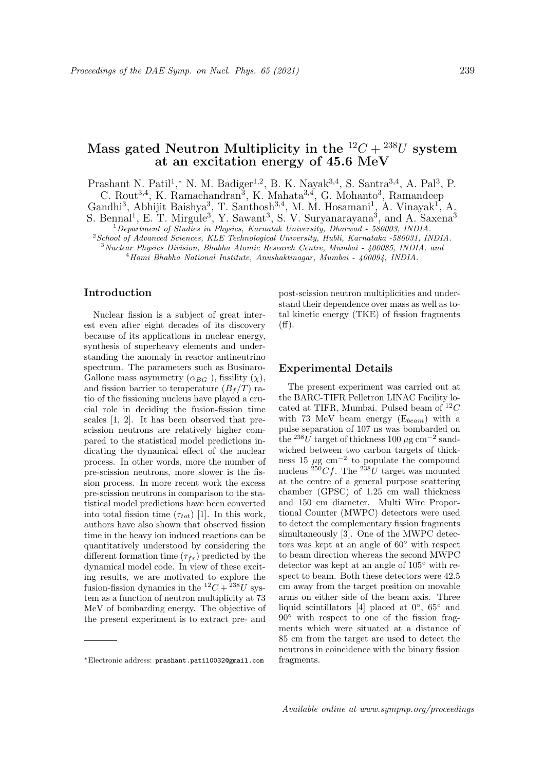# Mass gated Neutron Multiplicity in the  ${}^{12}C + {}^{238}U$  system at an excitation energy of 45.6 MeV

Prashant N. Patil<sup>1</sup>,\* N. M. Badiger<sup>1,2</sup>, B. K. Nayak<sup>3,4</sup>, S. Santra<sup>3,4</sup>, A. Pal<sup>3</sup>, P. C. Rout<sup>3,4</sup>, K. Ramachandran<sup>3</sup>, K. Mahata<sup>3,4</sup>, G. Mohanto<sup>3</sup>, Ramandeep

Gandhi<sup>3</sup>, Abhijit Baishya<sup>3</sup>, T. Santhosh<sup>3,4</sup>, M. M. Hosamani<sup>1</sup>, A. Vinayak<sup>1</sup>, A.

S. Bennal<sup>1</sup>, E. T. Mirgule<sup>3</sup>, Y. Sawant<sup>3</sup>, S. V. Suryanarayana<sup>3</sup>, and A. Saxena<sup>3</sup>

<sup>1</sup>Department of Studies in Physics, Karnatak University, Dharwad - 580003, INDIA.

 $2$ School of Advanced Sciences, KLE Technological University, Hubli, Karnataka -580031, INDIA.

<sup>3</sup>Nuclear Physics Division, Bhabha Atomic Research Centre, Mumbai - 400085, INDIA. and

<sup>4</sup>Homi Bhabha National Institute, Anushaktinagar, Mumbai - 400094, INDIA.

# Introduction

Nuclear fission is a subject of great interest even after eight decades of its discovery because of its applications in nuclear energy, synthesis of superheavy elements and understanding the anomaly in reactor antineutrino spectrum. The parameters such as Businaro-Gallone mass asymmetry  $(\alpha_{BG})$ , fissility  $(\chi)$ , and fission barrier to temperature  $(B_f/T)$  ratio of the fissioning nucleus have played a crucial role in deciding the fusion-fission time scales [1, 2]. It has been observed that prescission neutrons are relatively higher compared to the statistical model predictions indicating the dynamical effect of the nuclear process. In other words, more the number of pre-scission neutrons, more slower is the fission process. In more recent work the excess pre-scission neutrons in comparison to the statistical model predictions have been converted into total fission time  $(\tau_{tot})$  [1]. In this work, authors have also shown that observed fission time in the heavy ion induced reactions can be quantitatively understood by considering the different formation time  $(\tau_{fr})$  predicted by the dynamical model code. In view of these exciting results, we are motivated to explore the fusion-fission dynamics in the  ${}^{12}C + {}^{238}U$  system as a function of neutron multiplicity at 73 MeV of bombarding energy. The objective of the present experiment is to extract pre- and

post-scission neutron multiplicities and understand their dependence over mass as well as total kinetic energy (TKE) of fission fragments  $(f\mathrm{f}).$ 

## Experimental Details

The present experiment was carried out at the BARC-TIFR Pelletron LINAC Facility located at TIFR, Mumbai. Pulsed beam of  $^{12}C$ with 73 MeV beam energy  $(E_{beam})$  with a pulse separation of 107 ns was bombarded on the <sup>238</sup>U target of thickness 100  $\mu$ g cm<sup>-2</sup> sandwiched between two carbon targets of thickness 15  $\mu$ g cm<sup>-2</sup> to populate the compound nucleus  $^{250}Cf$ . The  $^{238}U$  target was mounted at the centre of a general purpose scattering chamber (GPSC) of 1.25 cm wall thickness and 150 cm diameter. Multi Wire Proportional Counter (MWPC) detectors were used to detect the complementary fission fragments simultaneously [3]. One of the MWPC detectors was kept at an angle of 60◦ with respect to beam direction whereas the second MWPC detector was kept at an angle of 105◦ with respect to beam. Both these detectors were 42.5 cm away from the target position on movable arms on either side of the beam axis. Three liquid scintillators [4] placed at  $0^{\circ}$ ,  $65^{\circ}$  and  $90°$  with respect to one of the fission fragments which were situated at a distance of 85 cm from the target are used to detect the neutrons in coincidence with the binary fission fragments.

<sup>∗</sup>Electronic address: prashant.patil0032@gmail.com